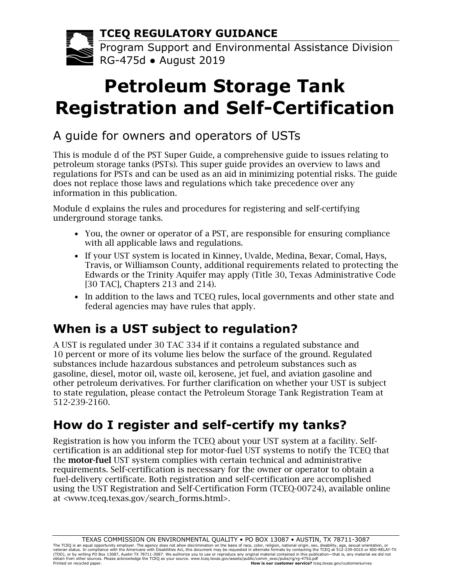**TCEQ REGULATORY GUIDANCE**

Program Support and Environmental Assistance Division RG-475d ● August 2019

# **Petroleum Storage Tank Registration and Self-Certification**

## A guide for owners and operators of USTs

This is module d of the PST Super Guide, a comprehensive guide to issues relating to petroleum storage tanks (PSTs). This super guide provides an overview to laws and regulations for PSTs and can be used as an aid in minimizing potential risks. The guide does not replace those laws and regulations which take precedence over any information in this publication.

Module d explains the rules and procedures for registering and self-certifying underground storage tanks.

- You, the owner or operator of a PST, are responsible for ensuring compliance with all applicable laws and regulations.
- If your UST system is located in Kinney, Uvalde, Medina, Bexar, Comal, Hays, Travis, or Williamson County, additional requirements related to protecting the Edwards or the Trinity Aquifer may apply (Title 30, Texas Administrative Code [30 TAC], Chapters 213 and 214).
- In addition to the laws and TCEQ rules, local governments and other state and federal agencies may have rules that apply.

# **When is a UST subject to regulation?**

A UST is regulated under 30 TAC 334 if it contains a regulated substance and 10 percent or more of its volume lies below the surface of the ground. Regulated substances include hazardous substances and petroleum substances such as gasoline, diesel, motor oil, waste oil, kerosene, jet fuel, and aviation gasoline and other petroleum derivatives. For further clarification on whether your UST is subject to state regulation, please contact the Petroleum Storage Tank Registration Team at 512-239-2160.

# **How do I register and self-certify my tanks?**

Registration is how you inform the TCEQ about your UST system at a facility. Selfcertification is an additional step for motor-fuel UST systems to notify the TCEQ that the motor-fuel UST system complies with certain technical and administrative requirements. Self-certification is necessary for the owner or operator to obtain a fuel-delivery certificate. Both registration and self-certification are accomplished using the UST Registration and Self-Certification Form (TCEQ-00724), available online at [<www.tceq.texas.gov/search\\_forms.html>](http://www.tceq.texas.gov/search_forms.html).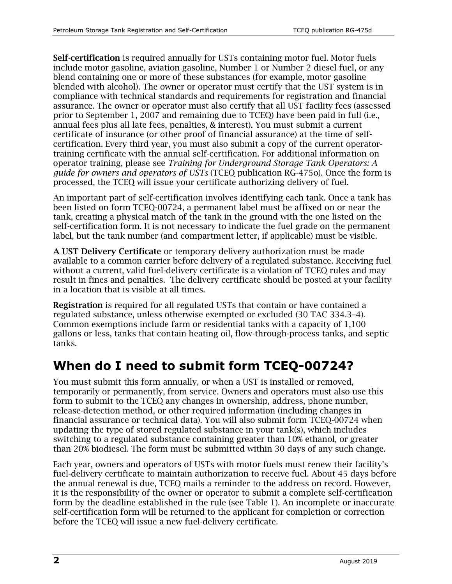Self-certification is required annually for USTs containing motor fuel. Motor fuels include motor gasoline, aviation gasoline, Number 1 or Number 2 diesel fuel, or any blend containing one or more of these substances (for example, motor gasoline blended with alcohol). The owner or operator must certify that the UST system is in compliance with technical standards and requirements for registration and financial assurance. The owner or operator must also certify that all UST facility fees (assessed prior to September 1, 2007 and remaining due to TCEQ) have been paid in full (i.e., annual fees plus all late fees, penalties, & interest). You must submit a current certificate of insurance (or other proof of financial assurance) at the time of selfcertification. Every third year, you must also submit a copy of the current operatortraining certificate with the annual self-certification. For additional information on operator training, please see *Training for Underground Storage Tank Operators: A guide for owners and operators of USTs* (TCEQ publication RG-475o). Once the form is processed, the TCEQ will issue your certificate authorizing delivery of fuel.

An important part of self-certification involves identifying each tank. Once a tank has been listed on form TCEQ-00724, a permanent label must be affixed on or near the tank, creating a physical match of the tank in the ground with the one listed on the self-certification form. It is not necessary to indicate the fuel grade on the permanent label, but the tank number (and compartment letter, if applicable) must be visible.

A UST Delivery Certificate or temporary delivery authorization must be made available to a common carrier before delivery of a regulated substance. Receiving fuel without a current, valid fuel-delivery certificate is a violation of TCEQ rules and may result in fines and penalties. The delivery certificate should be posted at your facility in a location that is visible at all times.

Registration is required for all regulated USTs that contain or have contained a regulated substance, unless otherwise exempted or excluded (30 TAC 334.3–4). Common exemptions include farm or residential tanks with a capacity of 1,100 gallons or less, tanks that contain heating oil, flow-through-process tanks, and septic tanks.

## **When do I need to submit form TCEQ-00724?**

You must submit this form annually, or when a UST is installed or removed, temporarily or permanently, from service. Owners and operators must also use this form to submit to the TCEQ any changes in ownership, address, phone number, release-detection method, or other required information (including changes in financial assurance or technical data). You will also submit form TCEQ-00724 when updating the type of stored regulated substance in your tank(s), which includes switching to a regulated substance containing greater than 10% ethanol, or greater than 20% biodiesel. The form must be submitted within 30 days of any such change.

Each year, owners and operators of USTs with motor fuels must renew their facility's fuel-delivery certificate to maintain authorization to receive fuel. About 45 days before the annual renewal is due, TCEQ mails a reminder to the address on record. However, it is the responsibility of the owner or operator to submit a complete self-certification form by the deadline established in the rule (see Table 1). An incomplete or inaccurate self-certification form will be returned to the applicant for completion or correction before the TCEQ will issue a new fuel-delivery certificate.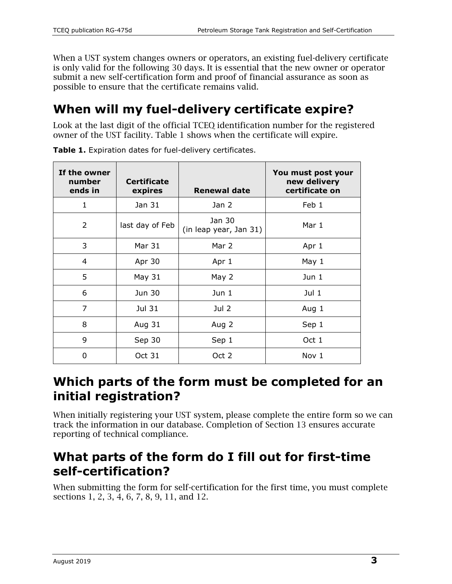When a UST system changes owners or operators, an existing fuel-delivery certificate is only valid for the following 30 days. It is essential that the new owner or operator submit a new self-certification form and proof of financial assurance as soon as possible to ensure that the certificate remains valid.

## **When will my fuel-delivery certificate expire?**

Look at the last digit of the official TCEQ identification number for the registered owner of the UST facility. Table 1 shows when the certificate will expire.

| If the owner<br>number<br>ends in | <b>Certificate</b><br>expires | <b>Renewal date</b>              | You must post your<br>new delivery<br>certificate on |
|-----------------------------------|-------------------------------|----------------------------------|------------------------------------------------------|
| 1                                 | Jan 31                        | Jan 2                            | Feb 1                                                |
| $\overline{2}$                    | last day of Feb               | Jan 30<br>(in leap year, Jan 31) | Mar 1                                                |
| 3                                 | Mar 31                        | Mar 2                            | Apr 1                                                |
| 4                                 | Apr 30                        | Apr 1                            | May 1                                                |
| 5                                 | May 31                        | May 2                            | Jun 1                                                |
| 6                                 | Jun 30                        | Jun 1                            | Jul 1                                                |
| $\overline{7}$                    | Jul 31                        | Jul 2                            | Aug 1                                                |
| 8                                 | Aug 31                        | Aug 2                            | Sep 1                                                |
| 9                                 | Sep 30                        | Sep 1                            | Oct 1                                                |
| 0                                 | Oct 31                        | Oct 2                            | Nov 1                                                |

**Table 1.** Expiration dates for fuel-delivery certificates.

#### **Which parts of the form must be completed for an initial registration?**

When initially registering your UST system, please complete the entire form so we can track the information in our database. Completion of Section 13 ensures accurate reporting of technical compliance.

#### **What parts of the form do I fill out for first-time self-certification?**

When submitting the form for self-certification for the first time, you must complete sections 1, 2, 3, 4, 6, 7, 8, 9, 11, and 12.